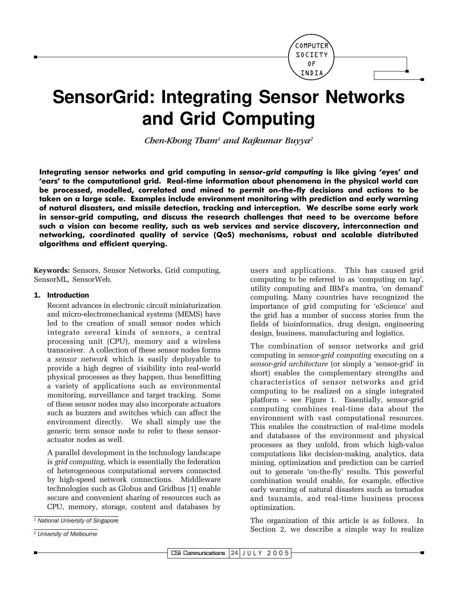

# **SensorGrid: Integrating Sensor Networks** and Grid Computing

Chen-Khong Tham<sup>1</sup> and Rajkumar Buyya<sup>2</sup>

Integrating sensor networks and grid computing in sensor-grid computing is like giving 'eyes' and 'ears' to the computational grid. Real-time information about phenomena in the physical world can be processed, modelled, correlated and mined to permit on-the-fly decisions and actions to be taken on a large scale. Examples include environment monitoring with prediction and early warning of natural disasters, and missile detection, tracking and interception. We describe some early work in sensor-grid computing, and discuss the research challenges that need to be overcome before such a vision can become reality, such as web services and service discovery, interconnection and networking, coordinated quality of service (QoS) mechanisms, robust and scalable distributed algorithms and efficient querying.

Keywords: Sensors, Sensor Networks, Grid computing, SensorML, SensorWeb.

#### 1. Introduction

Recent advances in electronic circuit miniaturization and micro-electromechanical systems (MEMS) have led to the creation of small sensor nodes which integrate several kinds of sensors, a central processing unit (CPU), memory and a wireless transceiver. A collection of these sensor nodes forms a sensor network which is easily deplovable to provide a high degree of visibility into real-world physical processes as they happen, thus benefitting a variety of applications such as environmental monitoring, surveillance and target tracking. Some of these sensor nodes may also incorporate actuators such as buzzers and switches which can affect the environment directly. We shall simply use the generic term sensor node to refer to these sensoractuator nodes as well.

A parallel development in the technology landscape is grid computing, which is essentially the federation of heterogeneous computational servers connected by high-speed network connections. Middleware technologies such as Globus and Gridbus [1] enable secure and convenient sharing of resources such as CPU, memory, storage, content and databases by users and applications. This has caused grid computing to be referred to as 'computing on tap', utility computing and IBM's mantra, 'on demand' computing. Many countries have recognized the importance of grid computing for 'eScience' and the grid has a number of success stories from the fields of bioinformatics, drug design, engineering design, business, manufacturing and logistics.

The combination of sensor networks and grid computing in *sensor-grid computing* executing on a sensor-grid architecture (or simply a 'sensor-grid' in short) enables the complementary strengths and characteristics of sensor networks and grid computing to be realized on a single integrated platform – see Figure 1. Essentially, sensor-grid computing combines real-time data about the environment with vast computational resources. This enables the construction of real-time models and databases of the environment and physical processes as they unfold, from which high-value computations like decision-making, analytics, data mining, optimization and prediction can be carried out to generate 'on-the-fly' results. This powerful combination would enable, for example, effective early warning of natural disasters such as tornados and tsunamis, and real-time business process optimization.

The organization of this article is as follows. In Section 2, we describe a simple way to realize

<sup>&</sup>lt;sup>1</sup> National University of Singapore

<sup>&</sup>lt;sup>2</sup> University of Melbourne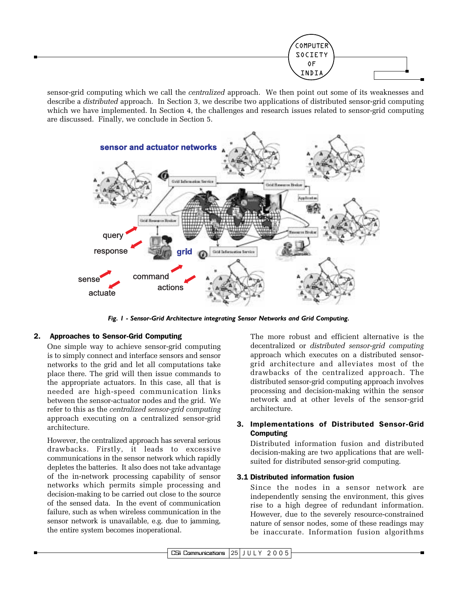

sensor-grid computing which we call the *centralized* approach. We then point out some of its weaknesses and describe a *distributed* approach. In Section 3, we describe two applications of distributed sensor-grid computing which we have implemented. In Section 4, the challenges and research issues related to sensor-grid computing are discussed. Finally, we conclude in Section 5.



Fig. 1 - Sensor-Grid Architecture integrating Sensor Networks and Grid Computing.

#### **Approaches to Sensor-Grid Computing** 2.

One simple way to achieve sensor-grid computing is to simply connect and interface sensors and sensor networks to the grid and let all computations take place there. The grid will then issue commands to the appropriate actuators. In this case, all that is needed are high-speed communication links between the sensor-actuator nodes and the grid. We refer to this as the centralized sensor-grid computing approach executing on a centralized sensor-grid architecture.

However, the centralized approach has several serious drawbacks. Firstly, it leads to excessive communications in the sensor network which rapidly depletes the batteries. It also does not take advantage of the in-network processing capability of sensor networks which permits simple processing and decision-making to be carried out close to the source of the sensed data. In the event of communication failure, such as when wireless communication in the sensor network is unavailable, e.g. due to jamming, the entire system becomes inoperational.

The more robust and efficient alternative is the decentralized or *distributed* sensor-grid computing approach which executes on a distributed sensorgrid architecture and alleviates most of the drawbacks of the centralized approach. The distributed sensor-grid computing approach involves processing and decision-making within the sensor network and at other levels of the sensor-grid architecture.

# 3. Implementations of Distributed Sensor-Grid **Computing**

Distributed information fusion and distributed decision-making are two applications that are wellsuited for distributed sensor-grid computing.

# 3.1 Distributed information fusion

Since the nodes in a sensor network are independently sensing the environment, this gives rise to a high degree of redundant information. However, due to the severely resource-constrained nature of sensor nodes, some of these readings may be inaccurate. Information fusion algorithms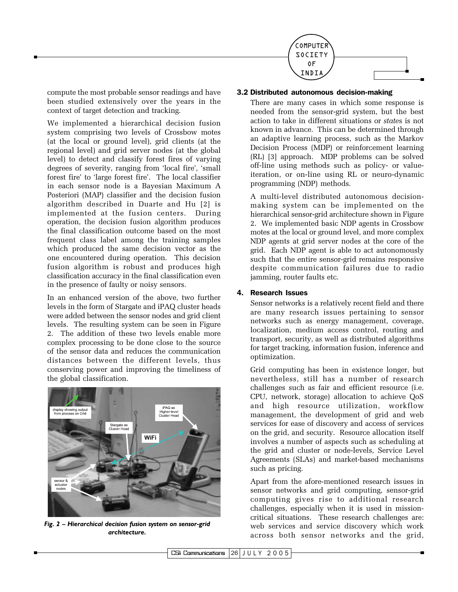

compute the most probable sensor readings and have been studied extensively over the years in the context of target detection and tracking.

We implemented a hierarchical decision fusion system comprising two levels of Crossbow motes (at the local or ground level), grid clients (at the regional level) and grid server nodes (at the global level) to detect and classify forest fires of varying degrees of severity, ranging from 'local fire', 'small forest fire' to 'large forest fire'. The local classifier in each sensor node is a Bayesian Maximum A Posteriori (MAP) classifier and the decision fusion algorithm described in Duarte and Hu [2] is implemented at the fusion centers. During operation, the decision fusion algorithm produces the final classification outcome based on the most frequent class label among the training samples which produced the same decision vector as the one encountered during operation. This decision fusion algorithm is robust and produces high classification accuracy in the final classification even in the presence of faulty or noisy sensors.

In an enhanced version of the above, two further levels in the form of Stargate and iPAQ cluster heads were added between the sensor nodes and grid client levels. The resulting system can be seen in Figure 2. The addition of these two levels enable more complex processing to be done close to the source of the sensor data and reduces the communication distances between the different levels, thus conserving power and improving the timeliness of the global classification.



Fig. 2 - Hierarchical decision fusion system on sensor-grid architecture.

#### 3.2 Distributed autonomous decision-making

There are many cases in which some response is needed from the sensor-grid system, but the best action to take in different situations or states is not known in advance. This can be determined through an adaptive learning process, such as the Markov Decision Process (MDP) or reinforcement learning (RL) [3] approach. MDP problems can be solved off-line using methods such as policy- or valueiteration, or on-line using RL or neuro-dynamic programming (NDP) methods.

A multi-level distributed autonomous decisionmaking system can be implemented on the hierarchical sensor-grid architecture shown in Figure 2. We implemented basic NDP agents in Crossbow motes at the local or ground level, and more complex NDP agents at grid server nodes at the core of the grid. Each NDP agent is able to act autonomously such that the entire sensor-grid remains responsive despite communication failures due to radio jamming, router faults etc.

#### 4. Research Issues

Sensor networks is a relatively recent field and there are many research issues pertaining to sensor networks such as energy management, coverage, localization, medium access control, routing and transport, security, as well as distributed algorithms for target tracking, information fusion, inference and optimization.

Grid computing has been in existence longer, but nevertheless, still has a number of research challenges such as fair and efficient resource (i.e. CPU, network, storage) allocation to achieve QoS and high resource utilization, workflow management, the development of grid and web services for ease of discovery and access of services on the grid, and security. Resource allocation itself involves a number of aspects such as scheduling at the grid and cluster or node-levels, Service Level Agreements (SLAs) and market-based mechanisms such as pricing.

Apart from the afore-mentioned research issues in sensor networks and grid computing, sensor-grid computing gives rise to additional research challenges, especially when it is used in missioncritical situations. These research challenges are: web services and service discovery which work across both sensor networks and the grid,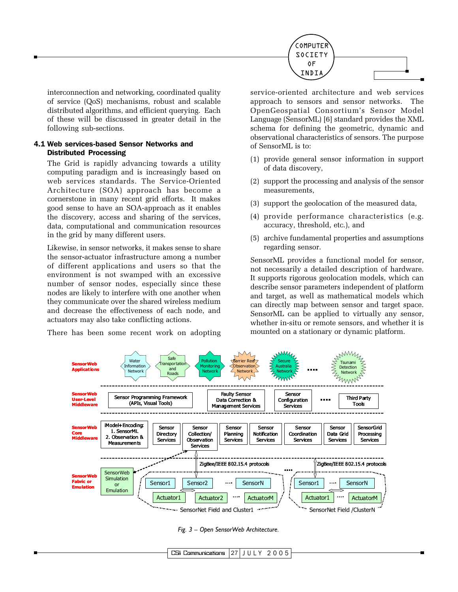

interconnection and networking, coordinated quality of service (QoS) mechanisms, robust and scalable distributed algorithms, and efficient querving. Each of these will be discussed in greater detail in the following sub-sections.

#### 4.1 Web services-based Sensor Networks and **Distributed Processing**

The Grid is rapidly advancing towards a utility computing paradigm and is increasingly based on web services standards. The Service-Oriented Architecture (SOA) approach has become a cornerstone in many recent grid efforts. It makes good sense to have an SOA-approach as it enables the discovery, access and sharing of the services, data, computational and communication resources in the grid by many different users.

Likewise, in sensor networks, it makes sense to share the sensor-actuator infrastructure among a number of different applications and users so that the environment is not swamped with an excessive number of sensor nodes, especially since these nodes are likely to interfere with one another when they communicate over the shared wireless medium and decrease the effectiveness of each node, and actuators may also take conflicting actions.

There has been some recent work on adopting

service-oriented architecture and web services approach to sensors and sensor networks. The OpenGeospatial Consortium's Sensor Model Language (SensorML) [6] standard provides the XML schema for defining the geometric, dynamic and observational characteristics of sensors. The purpose of SensorML is to:

- (1) provide general sensor information in support of data discovery,
- (2) support the processing and analysis of the sensor measurements,
- (3) support the geolocation of the measured data,
- (4) provide performance characteristics (e.g. accuracy, threshold, etc.), and
- (5) archive fundamental properties and assumptions regarding sensor.

SensorML provides a functional model for sensor, not necessarily a detailed description of hardware. It supports rigorous geolocation models, which can describe sensor parameters independent of platform and target, as well as mathematical models which can directly map between sensor and target space. SensorML can be applied to virtually any sensor. whether in-situ or remote sensors, and whether it is mounted on a stationary or dynamic platform.



Fig. 3 - Open SensorWeb Architecture.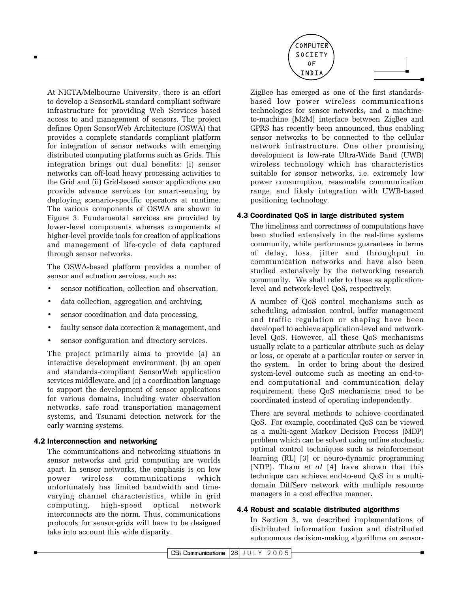

At NICTA/Melbourne University, there is an effort to develop a SensorML standard compliant software infrastructure for providing Web Services based access to and management of sensors. The project defines Open SensorWeb Architecture (OSWA) that provides a complete standards compliant platform for integration of sensor networks with emerging distributed computing platforms such as Grids. This integration brings out dual benefits: (i) sensor networks can off-load heavy processing activities to the Grid and (ii) Grid-based sensor applications can provide advance services for smart-sensing by deploving scenario-specific operators at runtime. The various components of OSWA are shown in Figure 3. Fundamental services are provided by lower-level components whereas components at higher-level provide tools for creation of applications and management of life-cycle of data captured through sensor networks.

The OSWA-based platform provides a number of sensor and actuation services, such as:

- sensor notification, collection and observation,
- data collection, aggregation and archiving,
- sensor coordination and data processing,
- faulty sensor data correction & management, and
- sensor configuration and directory services.

The project primarily aims to provide (a) an interactive development environment, (b) an open and standards-compliant SensorWeb application services middleware, and (c) a coordination language to support the development of sensor applications for various domains, including water observation networks, safe road transportation management systems, and Tsunami detection network for the early warning systems.

#### 4.2 Interconnection and networking

The communications and networking situations in sensor networks and grid computing are worlds apart. In sensor networks, the emphasis is on low power wireless communications which unfortunately has limited bandwidth and timevarying channel characteristics, while in grid computing, high-speed optical network interconnects are the norm. Thus, communications protocols for sensor-grids will have to be designed take into account this wide disparity.

ZigBee has emerged as one of the first standardsbased low power wireless communications technologies for sensor networks, and a machineto-machine (M2M) interface between ZigBee and GPRS has recently been announced, thus enabling sensor networks to be connected to the cellular network infrastructure. One other promising development is low-rate Ultra-Wide Band (UWB) wireless technology which has characteristics suitable for sensor networks, i.e. extremely low power consumption, reasonable communication range, and likely integration with UWB-based positioning technology.

# 4.3 Coordinated QoS in large distributed system

The timeliness and correctness of computations have been studied extensively in the real-time systems community, while performance guarantees in terms of delay, loss, jitter and throughput in communication networks and have also been studied extensively by the networking research community. We shall refer to these as applicationlevel and network-level QoS, respectively.

A number of QoS control mechanisms such as scheduling, admission control, buffer management and traffic regulation or shaping have been developed to achieve application-level and networklevel QoS. However, all these QoS mechanisms usually relate to a particular attribute such as delay or loss, or operate at a particular router or server in the system. In order to bring about the desired system-level outcome such as meeting an end-toend computational and communication delay requirement, these QoS mechanisms need to be coordinated instead of operating independently.

There are several methods to achieve coordinated QoS. For example, coordinated QoS can be viewed as a multi-agent Markov Decision Process (MDP) problem which can be solved using online stochastic optimal control techniques such as reinforcement learning (RL) [3] or neuro-dynamic programming (NDP). Tham et al [4] have shown that this technique can achieve end-to-end QoS in a multidomain DiffServ network with multiple resource managers in a cost effective manner.

# 4.4 Robust and scalable distributed algorithms

In Section 3, we described implementations of distributed information fusion and distributed autonomous decision-making algorithms on sensor-